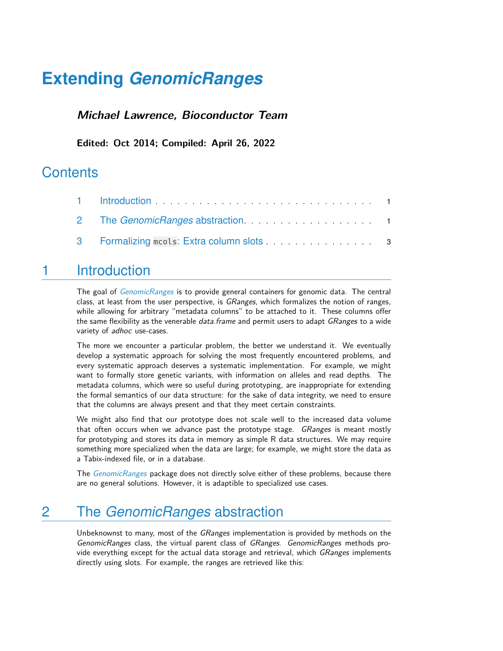# **Extending** *[GenomicRanges](http://bioconductor.org/packages/GenomicRanges)*

#### **Michael Lawrence, Bioconductor Team**

**Edited: Oct 2014; Compiled: April 26, 2022**

### **Contents**

| 3 Formalizing mcols: Extra column slots [11] Solid Lines and Solid States and States and States and S |  |
|-------------------------------------------------------------------------------------------------------|--|

#### <span id="page-0-0"></span>1 Introduction

The goal of *[GenomicRanges](http://bioconductor.org/packages/GenomicRanges)* is to provide general containers for genomic data. The central class, at least from the user perspective, is *GRanges*, which formalizes the notion of ranges, while allowing for arbitrary "metadata columns" to be attached to it. These columns offer the same flexibility as the venerable *data.frame* and permit users to adapt *GRanges* to a wide variety of adhoc use-cases.

The more we encounter a particular problem, the better we understand it. We eventually develop a systematic approach for solving the most frequently encountered problems, and every systematic approach deserves a systematic implementation. For example, we might want to formally store genetic variants, with information on alleles and read depths. The metadata columns, which were so useful during prototyping, are inappropriate for extending the formal semantics of our data structure: for the sake of data integrity, we need to ensure that the columns are always present and that they meet certain constraints.

We might also find that our prototype does not scale well to the increased data volume that often occurs when we advance past the prototype stage. GRanges is meant mostly for prototyping and stores its data in memory as simple R data structures. We may require something more specialized when the data are large; for example, we might store the data as a Tabix-indexed file, or in a database.

<span id="page-0-1"></span>The [GenomicRanges](http://bioconductor.org/packages/GenomicRanges) package does not directly solve either of these problems, because there are no general solutions. However, it is adaptible to specialized use cases.

## 2 The *GenomicRanges* abstraction

Unbeknownst to many, most of the GRanges implementation is provided by methods on the GenomicRanges class, the virtual parent class of GRanges. GenomicRanges methods provide everything except for the actual data storage and retrieval, which *GRanges* implements directly using slots. For example, the ranges are retrieved like this: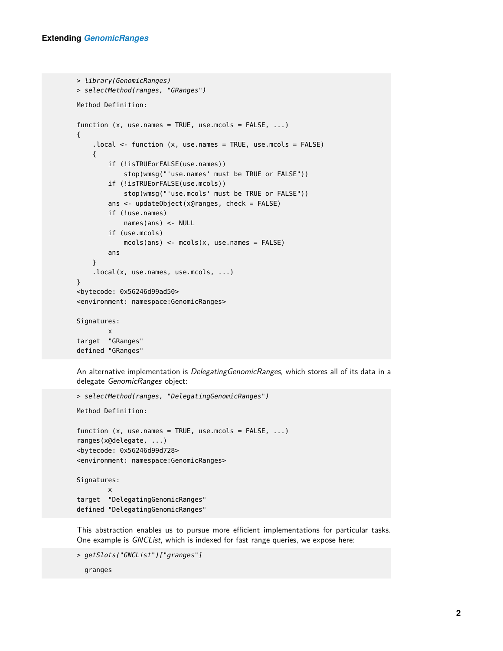```
> library(GenomicRanges)
> selectMethod(ranges, "GRanges")
Method Definition:
function (x, use.names = TRUE, use.mcols = FALSE, ...)
{
    .local <- function (x, use.names = TRUE, use.mcols = FALSE)
    {
        if (!isTRUEorFALSE(use.names))
            stop(wmsg("'use.names' must be TRUE or FALSE"))
        if (!isTRUEorFALSE(use.mcols))
            stop(wmsg("'use.mcols' must be TRUE or FALSE"))
        ans <- updateObject(x@ranges, check = FALSE)
        if (!use.names)
            names(ans) <- NULL
        if (use.mcols)
            mcols(ans) <- mcols(x, use.names = FALSE)
        ans
    }
    .local(x, use.names, use.mcols, ...)
}
<bytecode: 0x56246d99ad50>
<environment: namespace:GenomicRanges>
Signatures:
        x
target "GRanges"
defined "GRanges"
```
An alternative implementation is *DelegatingGenomicRanges*, which stores all of its data in a delegate GenomicRanges object:

```
> selectMethod(ranges, "DelegatingGenomicRanges")
Method Definition:
function (x, use.names = TRUE, use.mcols = FALSE, ...)
ranges(x@delegate, ...)
<bytecode: 0x56246d99d728>
<environment: namespace:GenomicRanges>
Signatures:
        x
target "DelegatingGenomicRanges"
defined "DelegatingGenomicRanges"
```
This abstraction enables us to pursue more efficient implementations for particular tasks. One example is GNCList, which is indexed for fast range queries, we expose here:

```
> getSlots("GNCList")["granges"]
  granges
```